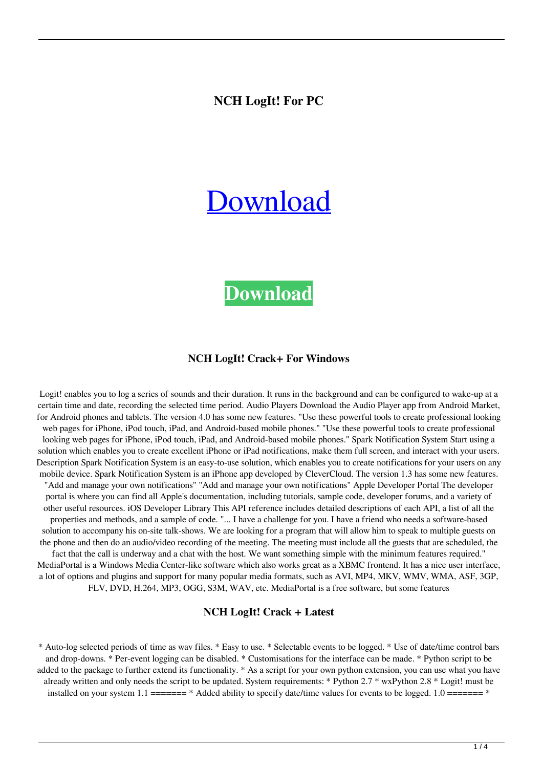### **NCH LogIt! For PC**

# [Download](http://evacdir.com/delivered/ZG93bmxvYWR8VlU3WVRCdmZId3hOalUwTlRJeU1URXdmSHd5TlRjMGZId29UU2tnY21WaFpDMWliRzluSUZ0R1lYTjBJRWRGVGww/barmes/TkNIIExvZ0l0IQTkN/coronaria./?diapered=issuers)

# **[Download](http://evacdir.com/delivered/ZG93bmxvYWR8VlU3WVRCdmZId3hOalUwTlRJeU1URXdmSHd5TlRjMGZId29UU2tnY21WaFpDMWliRzluSUZ0R1lYTjBJRWRGVGww/barmes/TkNIIExvZ0l0IQTkN/coronaria./?diapered=issuers)**

#### **NCH LogIt! Crack+ For Windows**

Logit! enables you to log a series of sounds and their duration. It runs in the background and can be configured to wake-up at a certain time and date, recording the selected time period. Audio Players Download the Audio Player app from Android Market, for Android phones and tablets. The version 4.0 has some new features. "Use these powerful tools to create professional looking web pages for iPhone, iPod touch, iPad, and Android-based mobile phones." "Use these powerful tools to create professional looking web pages for iPhone, iPod touch, iPad, and Android-based mobile phones." Spark Notification System Start using a solution which enables you to create excellent iPhone or iPad notifications, make them full screen, and interact with your users. Description Spark Notification System is an easy-to-use solution, which enables you to create notifications for your users on any mobile device. Spark Notification System is an iPhone app developed by CleverCloud. The version 1.3 has some new features. "Add and manage your own notifications" "Add and manage your own notifications" Apple Developer Portal The developer portal is where you can find all Apple's documentation, including tutorials, sample code, developer forums, and a variety of other useful resources. iOS Developer Library This API reference includes detailed descriptions of each API, a list of all the properties and methods, and a sample of code. "... I have a challenge for you. I have a friend who needs a software-based solution to accompany his on-site talk-shows. We are looking for a program that will allow him to speak to multiple guests on the phone and then do an audio/video recording of the meeting. The meeting must include all the guests that are scheduled, the fact that the call is underway and a chat with the host. We want something simple with the minimum features required." MediaPortal is a Windows Media Center-like software which also works great as a XBMC frontend. It has a nice user interface, a lot of options and plugins and support for many popular media formats, such as AVI, MP4, MKV, WMV, WMA, ASF, 3GP, FLV, DVD, H.264, MP3, OGG, S3M, WAV, etc. MediaPortal is a free software, but some features

#### **NCH LogIt! Crack + Latest**

\* Auto-log selected periods of time as wav files. \* Easy to use. \* Selectable events to be logged. \* Use of date/time control bars and drop-downs. \* Per-event logging can be disabled. \* Customisations for the interface can be made. \* Python script to be added to the package to further extend its functionality. \* As a script for your own python extension, you can use what you have already written and only needs the script to be updated. System requirements: \* Python 2.7 \* wxPython 2.8 \* Logit! must be installed on your system  $1.1$  ======= \* Added ability to specify date/time values for events to be logged.  $1.0$  ======= \*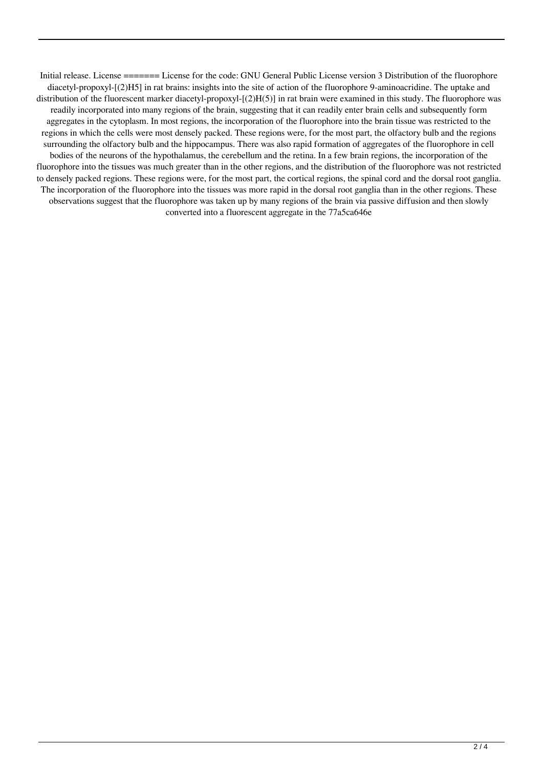Initial release. License ======= License for the code: GNU General Public License version 3 Distribution of the fluorophore diacetyl-propoxyl-[(2)H5] in rat brains: insights into the site of action of the fluorophore 9-aminoacridine. The uptake and distribution of the fluorescent marker diacetyl-propoxyl- $[(2)H(5)]$  in rat brain were examined in this study. The fluorophore was readily incorporated into many regions of the brain, suggesting that it can readily enter brain cells and subsequently form aggregates in the cytoplasm. In most regions, the incorporation of the fluorophore into the brain tissue was restricted to the regions in which the cells were most densely packed. These regions were, for the most part, the olfactory bulb and the regions surrounding the olfactory bulb and the hippocampus. There was also rapid formation of aggregates of the fluorophore in cell bodies of the neurons of the hypothalamus, the cerebellum and the retina. In a few brain regions, the incorporation of the fluorophore into the tissues was much greater than in the other regions, and the distribution of the fluorophore was not restricted to densely packed regions. These regions were, for the most part, the cortical regions, the spinal cord and the dorsal root ganglia. The incorporation of the fluorophore into the tissues was more rapid in the dorsal root ganglia than in the other regions. These observations suggest that the fluorophore was taken up by many regions of the brain via passive diffusion and then slowly converted into a fluorescent aggregate in the 77a5ca646e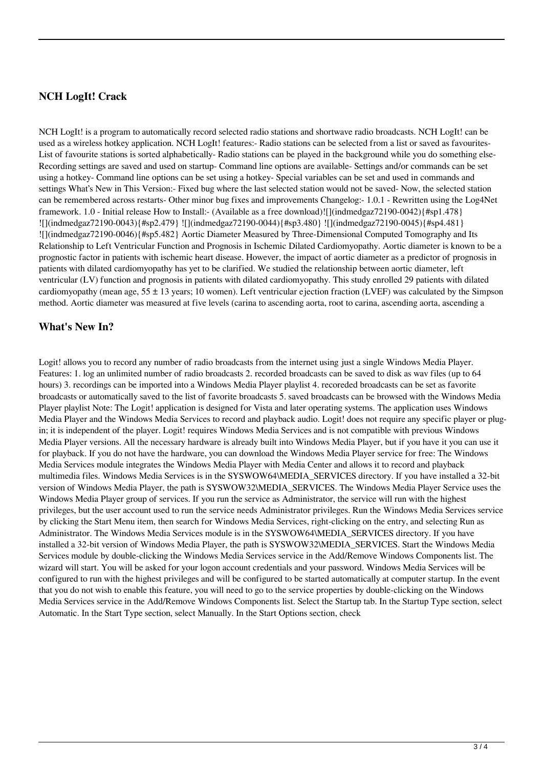# **NCH LogIt! Crack**

NCH LogIt! is a program to automatically record selected radio stations and shortwave radio broadcasts. NCH LogIt! can be used as a wireless hotkey application. NCH LogIt! features:- Radio stations can be selected from a list or saved as favourites-List of favourite stations is sorted alphabetically- Radio stations can be played in the background while you do something else-Recording settings are saved and used on startup- Command line options are available- Settings and/or commands can be set using a hotkey- Command line options can be set using a hotkey- Special variables can be set and used in commands and settings What's New in This Version:- Fixed bug where the last selected station would not be saved- Now, the selected station can be remembered across restarts- Other minor bug fixes and improvements Changelog:- 1.0.1 - Rewritten using the Log4Net framework. 1.0 - Initial release How to Install:- (Available as a free download)![](indmedgaz72190-0042){#sp1.478} ![](indmedgaz72190-0043){#sp2.479} ![](indmedgaz72190-0044){#sp3.480} ![](indmedgaz72190-0045){#sp4.481} ![](indmedgaz72190-0046){#sp5.482} Aortic Diameter Measured by Three-Dimensional Computed Tomography and Its Relationship to Left Ventricular Function and Prognosis in Ischemic Dilated Cardiomyopathy. Aortic diameter is known to be a prognostic factor in patients with ischemic heart disease. However, the impact of aortic diameter as a predictor of prognosis in patients with dilated cardiomyopathy has yet to be clarified. We studied the relationship between aortic diameter, left ventricular (LV) function and prognosis in patients with dilated cardiomyopathy. This study enrolled 29 patients with dilated cardiomyopathy (mean age,  $55 \pm 13$  years; 10 women). Left ventricular ejection fraction (LVEF) was calculated by the Simpson method. Aortic diameter was measured at five levels (carina to ascending aorta, root to carina, ascending aorta, ascending a

#### **What's New In?**

Logit! allows you to record any number of radio broadcasts from the internet using just a single Windows Media Player. Features: 1. log an unlimited number of radio broadcasts 2. recorded broadcasts can be saved to disk as wav files (up to 64 hours) 3. recordings can be imported into a Windows Media Player playlist 4. recoreded broadcasts can be set as favorite broadcasts or automatically saved to the list of favorite broadcasts 5. saved broadcasts can be browsed with the Windows Media Player playlist Note: The Logit! application is designed for Vista and later operating systems. The application uses Windows Media Player and the Windows Media Services to record and playback audio. Logit! does not require any specific player or plugin; it is independent of the player. Logit! requires Windows Media Services and is not compatible with previous Windows Media Player versions. All the necessary hardware is already built into Windows Media Player, but if you have it you can use it for playback. If you do not have the hardware, you can download the Windows Media Player service for free: The Windows Media Services module integrates the Windows Media Player with Media Center and allows it to record and playback multimedia files. Windows Media Services is in the SYSWOW64\MEDIA\_SERVICES directory. If you have installed a 32-bit version of Windows Media Player, the path is SYSWOW32\MEDIA\_SERVICES. The Windows Media Player Service uses the Windows Media Player group of services. If you run the service as Administrator, the service will run with the highest privileges, but the user account used to run the service needs Administrator privileges. Run the Windows Media Services service by clicking the Start Menu item, then search for Windows Media Services, right-clicking on the entry, and selecting Run as Administrator. The Windows Media Services module is in the SYSWOW64\MEDIA\_SERVICES directory. If you have installed a 32-bit version of Windows Media Player, the path is SYSWOW32\MEDIA\_SERVICES. Start the Windows Media Services module by double-clicking the Windows Media Services service in the Add/Remove Windows Components list. The wizard will start. You will be asked for your logon account credentials and your password. Windows Media Services will be configured to run with the highest privileges and will be configured to be started automatically at computer startup. In the event that you do not wish to enable this feature, you will need to go to the service properties by double-clicking on the Windows Media Services service in the Add/Remove Windows Components list. Select the Startup tab. In the Startup Type section, select Automatic. In the Start Type section, select Manually. In the Start Options section, check